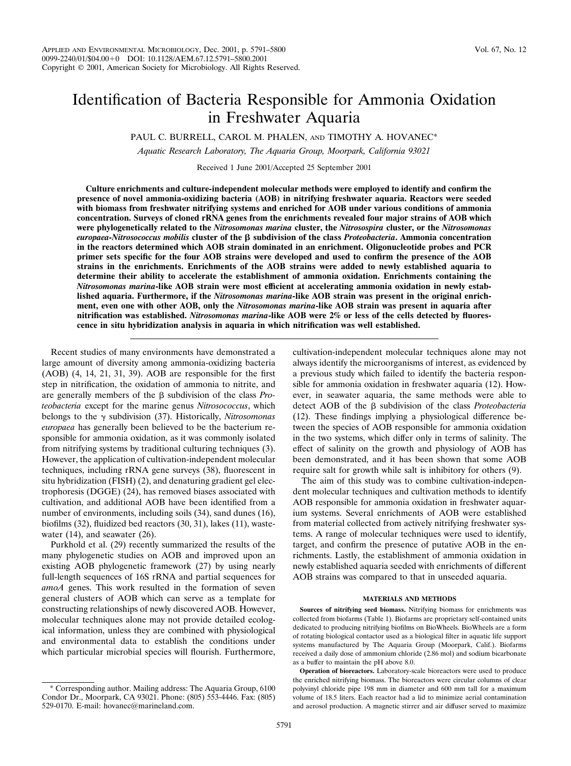# Identification of Bacteria Responsible for Ammonia Oxidation in Freshwater Aquaria

PAUL C. BURRELL, CAROL M. PHALEN, AND TIMOTHY A. HOVANEC\*

*Aquatic Research Laboratory, The Aquaria Group, Moorpark, California 93021*

Received 1 June 2001/Accepted 25 September 2001

**Culture enrichments and culture-independent molecular methods were employed to identify and confirm the presence of novel ammonia-oxidizing bacteria (AOB) in nitrifying freshwater aquaria. Reactors were seeded with biomass from freshwater nitrifying systems and enriched for AOB under various conditions of ammonia concentration. Surveys of cloned rRNA genes from the enrichments revealed four major strains of AOB which were phylogenetically related to the** *Nitrosomonas marina* **cluster, the** *Nitrosospira* **cluster, or the** *Nitrosomonas europaea-Nitrosococcus mobilis* **cluster of the subdivision of the class** *Proteobacteria***. Ammonia concentration in the reactors determined which AOB strain dominated in an enrichment. Oligonucleotide probes and PCR primer sets specific for the four AOB strains were developed and used to confirm the presence of the AOB strains in the enrichments. Enrichments of the AOB strains were added to newly established aquaria to determine their ability to accelerate the establishment of ammonia oxidation. Enrichments containing the** *Nitrosomonas marina***-like AOB strain were most efficient at accelerating ammonia oxidation in newly established aquaria. Furthermore, if the** *Nitrosomonas marina***-like AOB strain was present in the original enrichment, even one with other AOB, only the** *Nitrosomonas marina***-like AOB strain was present in aquaria after nitrification was established.** *Nitrosomonas marina***-like AOB were 2% or less of the cells detected by fluorescence in situ hybridization analysis in aquaria in which nitrification was well established.**

Recent studies of many environments have demonstrated a large amount of diversity among ammonia-oxidizing bacteria (AOB) (4, 14, 21, 31, 39). AOB are responsible for the first step in nitrification, the oxidation of ammonia to nitrite, and are generally members of the  $\beta$  subdivision of the class *Proteobacteria* except for the marine genus *Nitrosococcus*, which belongs to the  $\gamma$  subdivision (37). Historically, *Nitrosomonas europaea* has generally been believed to be the bacterium responsible for ammonia oxidation, as it was commonly isolated from nitrifying systems by traditional culturing techniques (3). However, the application of cultivation-independent molecular techniques, including rRNA gene surveys (38), fluorescent in situ hybridization (FISH) (2), and denaturing gradient gel electrophoresis (DGGE) (24), has removed biases associated with cultivation, and additional AOB have been identified from a number of environments, including soils  $(34)$ , sand dunes  $(16)$ , biofilms (32), fluidized bed reactors (30, 31), lakes (11), wastewater (14), and seawater (26).

Purkhold et al. (29) recently summarized the results of the many phylogenetic studies on AOB and improved upon an existing AOB phylogenetic framework (27) by using nearly full-length sequences of 16S rRNA and partial sequences for *amoA* genes. This work resulted in the formation of seven general clusters of AOB which can serve as a template for constructing relationships of newly discovered AOB. However, molecular techniques alone may not provide detailed ecological information, unless they are combined with physiological and environmental data to establish the conditions under which particular microbial species will flourish. Furthermore, cultivation-independent molecular techniques alone may not always identify the microorganisms of interest, as evidenced by a previous study which failed to identify the bacteria responsible for ammonia oxidation in freshwater aquaria (12). However, in seawater aquaria, the same methods were able to detect AOB of the  $\beta$  subdivision of the class *Proteobacteria* (12). These findings implying a physiological difference between the species of AOB responsible for ammonia oxidation in the two systems, which differ only in terms of salinity. The effect of salinity on the growth and physiology of AOB has been demonstrated, and it has been shown that some AOB require salt for growth while salt is inhibitory for others (9).

The aim of this study was to combine cultivation-independent molecular techniques and cultivation methods to identify AOB responsible for ammonia oxidation in freshwater aquarium systems. Several enrichments of AOB were established from material collected from actively nitrifying freshwater systems. A range of molecular techniques were used to identify, target, and confirm the presence of putative AOB in the enrichments. Lastly, the establishment of ammonia oxidation in newly established aquaria seeded with enrichments of different AOB strains was compared to that in unseeded aquaria.

#### **MATERIALS AND METHODS**

**Sources of nitrifying seed biomass.** Nitrifying biomass for enrichments was collected from biofarms (Table 1). Biofarms are proprietary self-contained units dedicated to producing nitrifying biofilms on BioWheels. BioWheels are a form of rotating biological contactor used as a biological filter in aquatic life support systems manufactured by The Aquaria Group (Moorpark, Calif.). Biofarms received a daily dose of ammonium chloride (2.86 mol) and sodium bicarbonate as a buffer to maintain the pH above 8.0.

**Operation of bioreactors.** Laboratory-scale bioreactors were used to produce the enriched nitrifying biomass. The bioreactors were circular columns of clear polyvinyl chloride pipe 198 mm in diameter and 600 mm tall for a maximum volume of 18.5 liters. Each reactor had a lid to minimize aerial contamination and aerosol production. A magnetic stirrer and air diffuser served to maximize

<sup>\*</sup> Corresponding author. Mailing address: The Aquaria Group, 6100 Condor Dr., Moorpark, CA 93021. Phone: (805) 553-4446. Fax: (805) 529-0170. E-mail: hovanec@marineland.com.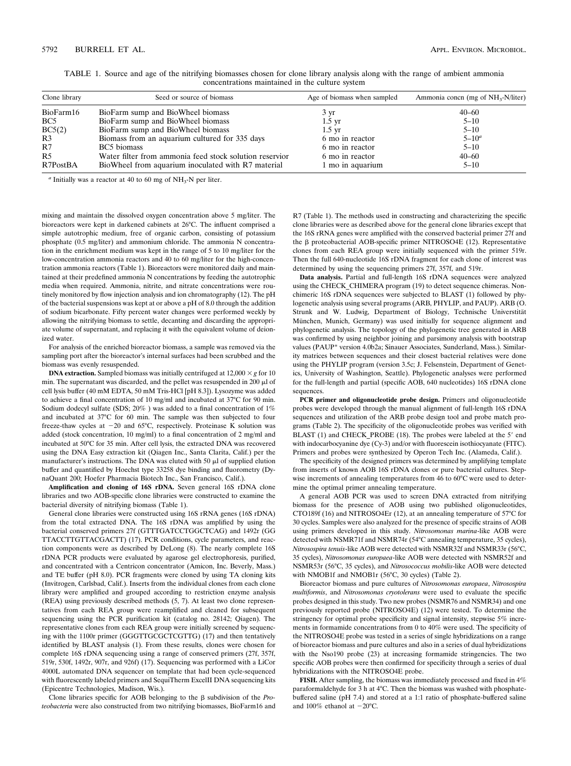| Clone library   | Seed or source of biomass                               | Age of biomass when sampled | Ammonia concn (mg of $NH_{3}$ -N/liter) |
|-----------------|---------------------------------------------------------|-----------------------------|-----------------------------------------|
| BioFarm16       | BioFarm sump and BioWheel biomass                       | 3 yr                        | $40 - 60$                               |
| BC <sub>5</sub> | BioFarm sump and BioWheel biomass                       | $1.5 \text{ yr}$            | $5 - 10$                                |
| BC5(2)          | BioFarm sump and BioWheel biomass                       | $1.5 \text{ yr}$            | $5 - 10$                                |
| R3              | Biomass from an aquarium cultured for 335 days          | 6 mo in reactor             | $5 - 10^a$                              |
| R7              | BC5 biomass                                             | 6 mo in reactor             | $5 - 10$                                |
| R <sub>5</sub>  | Water filter from ammonia feed stock solution reservior | 6 mo in reactor             | $40 - 60$                               |
| R7PostBA        | BioWheel from aquarium inoculated with R7 material      | 1 mo in aquarium            | $5 - 10$                                |

TABLE 1. Source and age of the nitrifying biomasses chosen for clone library analysis along with the range of ambient ammonia concentrations maintained in the culture system

*<sup>a</sup>* Initially was a reactor at 40 to 60 mg of NH3-N per liter.

mixing and maintain the dissolved oxygen concentration above 5 mg/liter. The bioreactors were kept in darkened cabinets at 26°C. The influent comprised a simple autotrophic medium, free of organic carbon, consisting of potassium phosphate (0.5 mg/liter) and ammonium chloride. The ammonia N concentration in the enrichment medium was kept in the range of 5 to 10 mg/liter for the low-concentration ammonia reactors and 40 to 60 mg/liter for the high-concentration ammonia reactors (Table 1). Bioreactors were monitored daily and maintained at their predefined ammonia N concentrations by feeding the autotrophic media when required. Ammonia, nitrite, and nitrate concentrations were routinely monitored by flow injection analysis and ion chromatography (12). The pH of the bacterial suspensions was kept at or above a pH of 8.0 through the addition of sodium bicarbonate. Fifty percent water changes were performed weekly by allowing the nitrifying biomass to settle, decanting and discarding the appropriate volume of supernatant, and replacing it with the equivalent volume of deionized water.

For analysis of the enriched bioreactor biomass, a sample was removed via the sampling port after the bioreactor's internal surfaces had been scrubbed and the biomass was evenly resuspended.

**DNA extraction.** Sampled biomass was initially centrifuged at  $12,000 \times g$  for 10 min. The supernatant was discarded, and the pellet was resuspended in 200  $\mu$ l of cell lysis buffer (40 mM EDTA, 50 mM Tris-HCl [pH 8.3]). Lysozyme was added to achieve a final concentration of 10 mg/ml and incubated at 37°C for 90 min. Sodium dodecyl sulfate (SDS; 20%) was added to a final concentration of 1% and incubated at 37°C for 60 min. The sample was then subjected to four freeze-thaw cycles at  $-20$  and  $65^{\circ}$ C, respectively. Proteinase K solution was added (stock concentration, 10 mg/ml) to a final concentration of 2 mg/ml and incubated at 50°C for 35 min. After cell lysis, the extracted DNA was recovered using the DNA Easy extraction kit (Qiagen Inc., Santa Clarita, Calif.) per the manufacturer's instructions. The DNA was eluted with 50  $\mu$ l of supplied elution buffer and quantified by Hoechst type 33258 dye binding and fluorometry (DynaQuant 200; Hoefer Pharmacia Biotech Inc., San Francisco, Calif.).

**Amplification and cloning of 16S rDNA.** Seven general 16S rDNA clone libraries and two AOB-specific clone libraries were constructed to examine the bacterial diversity of nitrifying biomass (Table 1).

General clone libraries were constructed using 16S rRNA genes (16S rDNA) from the total extracted DNA. The 16S rDNA was amplified by using the bacterial conserved primers 27f (GTTTGATCCTGGCTCAG) and 1492r (GG TTACCTTGTTACGACTT) (17). PCR conditions, cycle parameters, and reaction components were as described by DeLong (8). The nearly complete 16S rDNA PCR products were evaluated by agarose gel electrophoresis, purified, and concentrated with a Centricon concentrator (Amicon, Inc. Beverly, Mass.) and TE buffer (pH 8.0). PCR fragments were cloned by using TA cloning kits (Invitrogen, Carlsbad, Calif.). Inserts from the individual clones from each clone library were amplified and grouped according to restriction enzyme analysis (REA) using previously described methods (5, 7). At least two clone representatives from each REA group were reamplified and cleaned for subsequent sequencing using the PCR purification kit (catalog no. 28142; Qiagen). The representative clones from each REA group were initially screened by sequencing with the 1100r primer (GGGTTGCGCTCGTTG) (17) and then tentatively identified by BLAST analysis (1). From these results, clones were chosen for complete 16S rDNA sequencing using a range of conserved primers (27f, 357f, 519r, 530f, 1492r, 907r, and 926f) (17). Sequencing was performed with a LiCor 4000L automated DNA sequencer on template that had been cycle-sequenced with fluorescently labeled primers and SequiTherm ExcelII DNA sequencing kits (Epicentre Technologies, Madison, Wis.).

Clone libraries specific for AOB belonging to the  $\beta$  subdivision of the *Proteobacteria* were also constructed from two nitrifying biomasses, BioFarm16 and R7 (Table 1). The methods used in constructing and characterizing the specific clone libraries were as described above for the general clone libraries except that the 16S rRNA genes were amplified with the conserved bacterial primer 27f and the β proteobacterial AOB-specific primer NITROSO4E (12). Representative clones from each REA group were initially sequenced with the primer 519r. Then the full 640-nucleotide 16S rDNA fragment for each clone of interest was determined by using the sequencing primers 27f, 357f, and 519r.

**Data analysis.** Partial and full-length 16S rDNA sequences were analyzed using the CHECK\_CHIMERA program (19) to detect sequence chimeras. Nonchimeric 16S rDNA sequences were subjected to BLAST (1) followed by phylogenetic analysis using several programs (ARB, PHYLIP, and PAUP). ARB (O. Strunk and W. Ludwig, Department of Biology, Technische Universtität München, Munich, Germany) was used initially for sequence alignment and phylogenetic analysis. The topology of the phylogenetic tree generated in ARB was confirmed by using neighbor joining and parsimony analysis with bootstrap values (PAUP\* version 4.0b2a; Sinauer Associates, Sunderland, Mass.). Similarity matrices between sequences and their closest bacterial relatives were done using the PHYLIP program (version 3.5c; J. Felsenstein, Department of Genetics, University of Washington, Seattle). Phylogenetic analyses were performed for the full-length and partial (specific AOB, 640 nucleotides) 16S rDNA clone sequences.

**PCR primer and oligonucleotide probe design.** Primers and oligonucleotide probes were developed through the manual alignment of full-length 16S rDNA sequences and utilization of the ARB probe design tool and probe match programs (Table 2). The specificity of the oligonucleotide probes was verified with BLAST (1) and CHECK\_PROBE (18). The probes were labeled at the 5' end with indocarbocyanine dye (Cy-3) and/or with fluorescein isothiocyanate (FITC). Primers and probes were synthesized by Operon Tech Inc. (Alameda, Calif.).

The specificity of the designed primers was determined by amplifying template from inserts of known AOB 16S rDNA clones or pure bacterial cultures. Stepwise increments of annealing temperatures from 46 to 60°C were used to determine the optimal primer annealing temperature.

A general AOB PCR was used to screen DNA extracted from nitrifying biomass for the presence of AOB using two published oligonucleotides, CTO189f (16) and NITROSO4Er (12), at an annealing temperature of 57°C for 30 cycles. Samples were also analyzed for the presence of specific strains of AOB using primers developed in this study. *Nitrosomonas marina*-like AOB were detected with NSMR71f and NSMR74r (54°C annealing temperature, 35 cycles), *Nitrosospira tenuis*-like AOB were detected with NSMR32f and NSMR33r (56°C, 35 cycles), *Nitrosomonas europaea*-like AOB were detected with NSMR52f and NSMR53r (56°C, 35 cycles), and *Nitrosococcus mobilis*-like AOB were detected with NMOB1f and NMOB1r (56°C, 30 cycles) (Table 2).

Bioreactor biomass and pure cultures of *Nitrosomonas europaea*, *Nitrosospira multiformis*, and *Nitrosomonas cryotolerans* were used to evaluate the specific probes designed in this study. Two new probes (NSMR76 and NSMR34) and one previously reported probe (NITROSO4E) (12) were tested. To determine the stringency for optimal probe specificity and signal intensity, stepwise 5% increments in formamide concentrations from 0 to 40% were used. The specificity of the NITROSO4E probe was tested in a series of single hybridizations on a range of bioreactor biomass and pure cultures and also in a series of dual hybridizations with the Nso190 probe (23) at increasing formamide stringencies. The two specific AOB probes were then confirmed for specificity through a series of dual hybridizations with the NITROSO4E probe.

**FISH.** After sampling, the biomass was immediately processed and fixed in 4% paraformaldehyde for 3 h at 4°C. Then the biomass was washed with phosphatebuffered saline (pH 7.4) and stored at a 1:1 ratio of phosphate-buffered saline and  $100\%$  ethanol at  $-20^{\circ}$ C.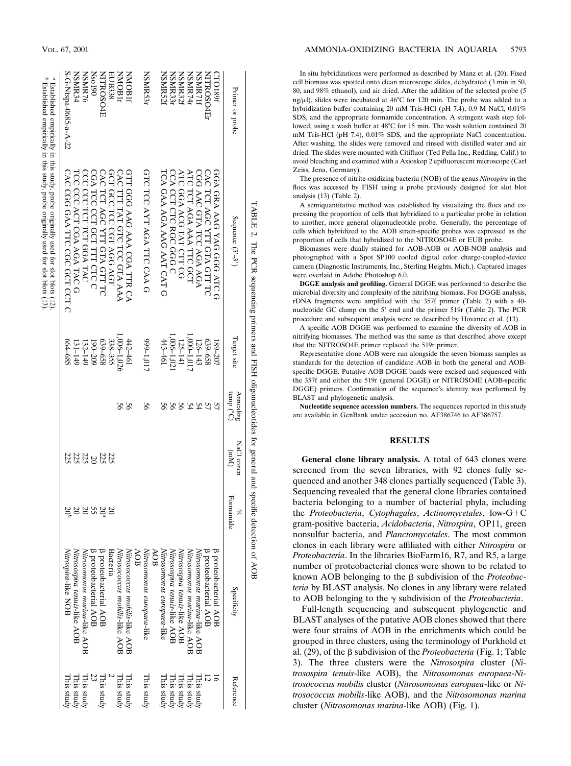|                       | TABLE 2. The PCR sequencing primers and FISH oligonucleotides for general and specific detection of AOB                                                                              |                 |                                  |                                 |                |                                   |                                                                                |
|-----------------------|--------------------------------------------------------------------------------------------------------------------------------------------------------------------------------------|-----------------|----------------------------------|---------------------------------|----------------|-----------------------------------|--------------------------------------------------------------------------------|
| Primer or probe       | Sequence $(5'-3')$                                                                                                                                                                   | Target site     | Annealing<br>temp $\binom{0}{C}$ | NaCl concn<br>(M <sub>m</sub> ) | Formamide<br>H | Specificity                       | Reference                                                                      |
| CTO189f               | GGA GRA AAG YAG GGG ATC G                                                                                                                                                            | 189-207         |                                  |                                 |                | <b>B</b> proteobacterial AOB      |                                                                                |
| <b>NITROSO4Er</b>     | CAC TCT AGC YTT GTA GTT TC                                                                                                                                                           | 859-658         | 57                               |                                 |                | <b>B</b> proteobacterial AOB      |                                                                                |
| NSMR71f               | CGG AAC GTA TCC AGA AGA                                                                                                                                                              | 126-143         |                                  |                                 |                | Nitrosomonas marina-like AOB      |                                                                                |
| NSMR741               | ATC TCT AGA AAA TTC GCT                                                                                                                                                              | $(0.000-1.017)$ |                                  |                                 |                | Nitrosomonas marina-like AOB      |                                                                                |
| NSMR32f               | ATC GGA ACG TAT CTT CG                                                                                                                                                               | 125-141         |                                  |                                 |                | Nurosospira tenuis-like AOB       |                                                                                |
| NSMR331               | CCA CCT CTC RGC GGG C                                                                                                                                                                | $1,006-1,02$    | 2252                             |                                 |                | Nitrosospira tenuis-like AOB      | This study $\frac{1}{2}$ and $\frac{1}{2}$ and $\frac{1}{2}$ and $\frac{1}{2}$ |
| NSMR521               | FCA GAA AGA AAG AAT CAT G                                                                                                                                                            | 443-461         |                                  |                                 |                | Nitrosomonas europaea-like        | This study                                                                     |
|                       |                                                                                                                                                                                      |                 |                                  |                                 |                | AOB                               |                                                                                |
| NSMR531               | GTC TCC AYT AGA TTC CAA G                                                                                                                                                            | 10'1-666        | 99                               |                                 |                | AOB<br>Nitrosomonas europaea-like | This study                                                                     |
| <b>NMOB1E</b>         | GTT<br>GGG AAG AAA CGA TTR CA                                                                                                                                                        | $13 - 461$      | 99                               |                                 |                | Nitrosocccus mobilis-like AOE     | This study                                                                     |
| <b>NNOB11</b>         | CAC<br>TITT TAT GTC TCC GTA AAA                                                                                                                                                      | $1,006-1,026$   | 56                               |                                 |                | Nitrosococcus mobilis-like AOE    | This study                                                                     |
| EUB338                | GCT<br>T GCC TCC CGT AGG AGT                                                                                                                                                         | 338-355         |                                  |                                 |                | Bacteria                          |                                                                                |
| NITROSO4E             | CAC TCT AGC YTT GTA GTT TC                                                                                                                                                           | 859-658         |                                  |                                 | 20°            | <b>B</b> proteobacterial AOB      | This study                                                                     |
| <b>Nso190</b>         | CGA TCC CCT GCT TTT CTC C                                                                                                                                                            | $190 - 209$     |                                  |                                 |                | <b>B</b> proteobacterial AOB      |                                                                                |
| NSMR76                | CCC CCC TCT TCT GGA TAC                                                                                                                                                              | $132 - 149$     |                                  | <b>ដូដូ ដូដូ</b><br>និងទីនឹង    | ននន្ទ          | Nitrosomonas marina-like AOB      | This study                                                                     |
| NSMR34                | TCC CCC ACT CGA AGA TAC                                                                                                                                                              | $131 - 149$     |                                  |                                 |                | Nitrosospira tenuis-like AOB      | This study                                                                     |
| S-G-Ntspa-0685-a-A-22 | CAC CGG GAA TTC CGC GCT CCT C                                                                                                                                                        | 664–685         |                                  | 225                             |                | Nitrospira-like NOB               | This study                                                                     |
|                       | $\ell$ Established empirically in this study, probe originally used for slot blots (12).<br>$\ell$ Established empirically in this study, probe originally used for slot blots (12). |                 |                                  |                                 |                |                                   |                                                                                |
|                       |                                                                                                                                                                                      |                 |                                  |                                 |                |                                   |                                                                                |

In situ hybridizations were performed as described by Manz et al. (20). Fixed cell biomass was spotted onto clean microscope slides, dehydrated (3 min in 50, 80, and 98% ethanol), and air dried. After the addition of the selected probe (5 ng/ $\mu$ l), slides were incubated at 46°C for 120 min. The probe was added to a hybridization buffer containing 20 mM Tris-HCl (pH 7.4), 0.9 M NaCl, 0.01% SDS, and the appropriate formamide concentration. A stringent wash step followed, using a wash buffer at 48°C for 15 min. The wash solution contained 20 mM Tris-HCl (pH 7.4), 0.01% SDS, and the appropriate NaCl concentration. After washing, the slides were removed and rinsed with distilled water and air dried. The slides were mounted with Citifluor (Ted Pella Inc., Redding, Calif.) to avoid bleaching and examined with a Axioskop 2 epifluorescent microscope (Carl Zeiss, Jena, Germany).

The presence of nitrite-oxidizing bacteria (NOB) of the genus *Nitrospira* in the flocs was accessed by FISH using a probe previously designed for slot blot analysis (13) (Table 2).

A semiquantitative method was established by visualizing the flocs and expressing the proportion of cells that hybridized to a particular probe in relation to another, more general oligonucleotide probe. Generally, the percentage of cells which hybridized to the AOB strain-specific probes was expressed as the proportion of cells that hybridized to the NITROSO4E or EUB probe.

Biomasses were dually stained for AOB-AOB or AOB-NOB analysis and photographed with a Spot SP100 cooled digital color charge-coupled-device camera (Diagnostic Instruments, Inc., Sterling Heights, Mich.). Captured images were overlaid in Adobe Photoshop 6.0.

**DGGE analysis and profiling.** General DGGE was performed to describe the microbial diversity and complexity of the nitrifying biomass. For DGGE analysis, rDNA fragments were amplified with the 357f primer (Table 2) with a 40 nucleotide GC clamp on the 5' end and the primer 519r (Table 2). The PCR procedure and subsequent analysis were as described by Hovanec et al. (13).

A specific AOB DGGE was performed to examine the diversity of AOB in nitrifying biomasses. The method was the same as that described above except that the NITROSO4E primer replaced the 519r primer.

Representative clone AOB were run alongside the seven biomass samples as standards for the detection of candidate AOB in both the general and AOBspecific DGGE. Putative AOB DGGE bands were excised and sequenced with the 357f and either the 519r (general DGGE) or NITROSO4E (AOB-specific DGGE) primers. Confirmation of the sequence's identity was performed by BLAST and phylogenetic analysis.

**Nucleotide sequence accession numbers.** The sequences reported in this study are available in GenBank under accession no. AF386746 to AF386757.

## **RESULTS**

**General clone library analysis.** A total of 643 clones were screened from the seven libraries, with 92 clones fully sequenced and another 348 clones partially sequenced (Table 3). Sequencing revealed that the general clone libraries contained bacteria belonging to a number of bacterial phyla, including the *Proteobacteria*, *Cytophagales*, *Actinomycetales*,  $low-G+C$ gram-positive bacteria, *Acidobacteria*, *Nitrospira*, OP11, green nonsulfur bacteria, and *Planctomycetales*. The most common clones in each library were affiliated with either *Nitrospira* or *Proteobacteria*. In the libraries BioFarm16, R7, and R5, a large number of proteobacterial clones were shown to be related to known AOB belonging to the  $\beta$  subdivision of the *Proteobacteria* by BLAST analysis. No clones in any library were related to AOB belonging to the  $\gamma$  subdivision of the *Proteobacteria*.

Full-length sequencing and subsequent phylogenetic and BLAST analyses of the putative AOB clones showed that there were four strains of AOB in the enrichments which could be grouped in three clusters, using the terminology of Purkhold et al. (29), of the  $\beta$  subdivision of the *Proteobacteria* (Fig. 1; Table 3). The three clusters were the *Nitrosospira* cluster (*Nitrosospira tenuis*-like AOB), the *Nitrosomonas europaea*-*Nitrosococcus mobilis* cluster (*Nitrosomonas europaea*-like or *Nitrosococcus mobilis*-like AOB), and the *Nitrosomonas marina* cluster (*Nitrosomonas marina*-like AOB) (Fig. 1).

Established

empirically in

this study,

probe

originally

used

for slot

blots (13).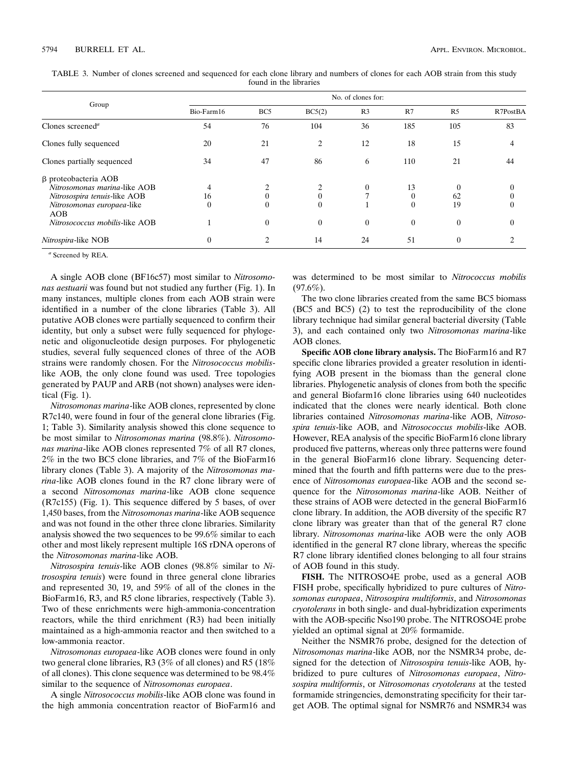|                                     | No. of clones for: |                 |          |                |          |                |          |
|-------------------------------------|--------------------|-----------------|----------|----------------|----------|----------------|----------|
| Group                               | Bio-Farm16         | BC <sub>5</sub> | BC5(2)   | R <sub>3</sub> | R7       | R <sub>5</sub> | R7PostBA |
| Clones screened <sup><i>a</i></sup> | 54                 | 76              | 104      | 36             | 185      | 105            | 83       |
| Clones fully sequenced              | 20                 | 21              | 2        | 12             | 18       | 15             | 4        |
| Clones partially sequenced          | 34                 | 47              | 86       | 6              | 110      | 21             | 44       |
| β proteobacteria AOB                |                    |                 |          |                |          |                |          |
| Nitrosomonas marina-like AOB        |                    | 2               |          | $\mathbf{0}$   | 13       | $\Omega$       | $\theta$ |
| Nitrosospira tenuis-like AOB        | 16                 | $\Omega$        |          |                | 0        | 62             |          |
| Nitrosomonas europaea-like<br>AOB   | $\theta$           | $\theta$        |          |                | $\Omega$ | 19             | 0        |
| Nitrosococcus mobilis-like AOB      |                    | $\overline{0}$  | $\Omega$ | $\overline{0}$ | $\theta$ | $\theta$       | $\theta$ |
| Nitrospira-like NOB                 | 0                  | $\mathfrak{D}$  | 14       | 24             | 51       | 0              |          |

TABLE 3. Number of clones screened and sequenced for each clone library and numbers of clones for each AOB strain from this study found in the libraries

*<sup>a</sup>* Screened by REA.

A single AOB clone (BF16c57) most similar to *Nitrosomonas aestuarii* was found but not studied any further (Fig. 1). In many instances, multiple clones from each AOB strain were identified in a number of the clone libraries (Table 3). All putative AOB clones were partially sequenced to confirm their identity, but only a subset were fully sequenced for phylogenetic and oligonucleotide design purposes. For phylogenetic studies, several fully sequenced clones of three of the AOB strains were randomly chosen. For the *Nitrosococcus mobilis*like AOB, the only clone found was used. Tree topologies generated by PAUP and ARB (not shown) analyses were identical (Fig. 1).

*Nitrosomonas marina*-like AOB clones, represented by clone R7c140, were found in four of the general clone libraries (Fig. 1; Table 3). Similarity analysis showed this clone sequence to be most similar to *Nitrosomonas marina* (98.8%). *Nitrosomonas marina*-like AOB clones represented 7% of all R7 clones, 2% in the two BC5 clone libraries, and 7% of the BioFarm16 library clones (Table 3). A majority of the *Nitrosomonas marina*-like AOB clones found in the R7 clone library were of a second *Nitrosomonas marina*-like AOB clone sequence (R7c155) (Fig. 1). This sequence differed by 5 bases, of over 1,450 bases, from the *Nitrosomonas marina*-like AOB sequence and was not found in the other three clone libraries. Similarity analysis showed the two sequences to be 99.6% similar to each other and most likely represent multiple 16S rDNA operons of the *Nitrosomonas marina*-like AOB.

*Nitrosospira tenuis*-like AOB clones (98.8% similar to *Nitrosospira tenuis*) were found in three general clone libraries and represented 30, 19, and 59% of all of the clones in the BioFarm16, R3, and R5 clone libraries, respectively (Table 3). Two of these enrichments were high-ammonia-concentration reactors, while the third enrichment (R3) had been initially maintained as a high-ammonia reactor and then switched to a low-ammonia reactor.

*Nitrosomonas europaea*-like AOB clones were found in only two general clone libraries, R3 (3% of all clones) and R5 (18% of all clones). This clone sequence was determined to be 98.4% similar to the sequence of *Nitrosomonas europaea*.

A single *Nitrosococcus mobilis*-like AOB clone was found in the high ammonia concentration reactor of BioFarm16 and

was determined to be most similar to *Nitrococcus mobilis*  $(97.6\%)$ .

The two clone libraries created from the same BC5 biomass (BC5 and BC5) (2) to test the reproducibility of the clone library technique had similar general bacterial diversity (Table 3), and each contained only two *Nitrosomonas marina*-like AOB clones.

**Specific AOB clone library analysis.** The BioFarm16 and R7 specific clone libraries provided a greater resolution in identifying AOB present in the biomass than the general clone libraries. Phylogenetic analysis of clones from both the specific and general Biofarm16 clone libraries using 640 nucleotides indicated that the clones were nearly identical. Both clone libraries contained *Nitrosomonas marina*-like AOB, *Nitrosospira tenuis*-like AOB, and *Nitrosococcus mobilis*-like AOB. However, REA analysis of the specific BioFarm16 clone library produced five patterns, whereas only three patterns were found in the general BioFarm16 clone library. Sequencing determined that the fourth and fifth patterns were due to the presence of *Nitrosomonas europaea*-like AOB and the second sequence for the *Nitrosomonas marina*-like AOB. Neither of these strains of AOB were detected in the general BioFarm16 clone library. In addition, the AOB diversity of the specific R7 clone library was greater than that of the general R7 clone library. *Nitrosomonas marina*-like AOB were the only AOB identified in the general R7 clone library, whereas the specific R7 clone library identified clones belonging to all four strains of AOB found in this study.

**FISH.** The NITROSO4E probe, used as a general AOB FISH probe, specifically hybridized to pure cultures of *Nitrosomonas europaea*, *Nitrosospira multiformis*, and *Nitrosomonas cryotolerans* in both single- and dual-hybridization experiments with the AOB-specific Nso190 probe. The NITROSO4E probe yielded an optimal signal at 20% formamide.

Neither the NSMR76 probe, designed for the detection of *Nitrosomonas marina*-like AOB, nor the NSMR34 probe, designed for the detection of *Nitrosospira tenuis*-like AOB, hybridized to pure cultures of *Nitrosomonas europaea*, *Nitrosospira multiformis*, or *Nitrosomonas cryotolerans* at the tested formamide stringencies, demonstrating specificity for their target AOB. The optimal signal for NSMR76 and NSMR34 was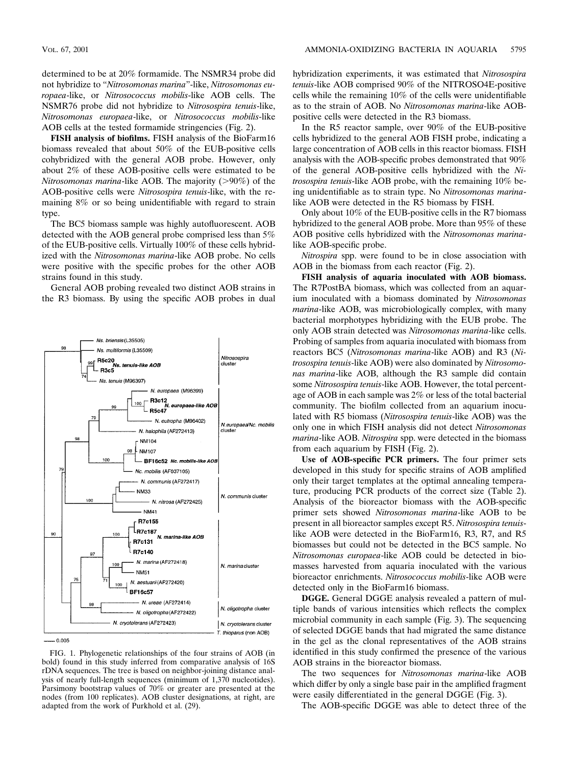determined to be at 20% formamide. The NSMR34 probe did not hybridize to "*Nitrosomonas marina*"-like, *Nitrosomonas europaea*-like, or *Nitrosococcus mobilis*-like AOB cells. The NSMR76 probe did not hybridize to *Nitrosospira tenuis*-like, *Nitrosomonas europaea*-like, or *Nitrosococcus mobilis*-like AOB cells at the tested formamide stringencies (Fig. 2).

**FISH analysis of biofilms.** FISH analysis of the BioFarm16 biomass revealed that about 50% of the EUB-positive cells cohybridized with the general AOB probe. However, only about 2% of these AOB-positive cells were estimated to be *Nitrosomonas marina*-like AOB. The majority (>90%) of the AOB-positive cells were *Nitrosospira tenuis*-like, with the remaining 8% or so being unidentifiable with regard to strain type.

The BC5 biomass sample was highly autofluorescent. AOB detected with the AOB general probe comprised less than 5% of the EUB-positive cells. Virtually 100% of these cells hybridized with the *Nitrosomonas marina*-like AOB probe. No cells were positive with the specific probes for the other AOB strains found in this study.

General AOB probing revealed two distinct AOB strains in the R3 biomass. By using the specific AOB probes in dual



FIG. 1. Phylogenetic relationships of the four strains of AOB (in bold) found in this study inferred from comparative analysis of 16S rDNA sequences. The tree is based on neighbor-joining distance analysis of nearly full-length sequences (minimum of 1,370 nucleotides). Parsimony bootstrap values of 70% or greater are presented at the nodes (from 100 replicates). AOB cluster designations, at right, are adapted from the work of Purkhold et al. (29).

hybridization experiments, it was estimated that *Nitrosospira tenuis*-like AOB comprised 90% of the NITROSO4E-positive cells while the remaining 10% of the cells were unidentifiable as to the strain of AOB. No *Nitrosomonas marina*-like AOBpositive cells were detected in the R3 biomass.

In the R5 reactor sample, over 90% of the EUB-positive cells hybridized to the general AOB FISH probe, indicating a large concentration of AOB cells in this reactor biomass. FISH analysis with the AOB-specific probes demonstrated that 90% of the general AOB-positive cells hybridized with the *Nitrosospira tenuis*-like AOB probe, with the remaining 10% being unidentifiable as to strain type. No *Nitrosomonas marina*like AOB were detected in the R5 biomass by FISH.

Only about 10% of the EUB-positive cells in the R7 biomass hybridized to the general AOB probe. More than 95% of these AOB positive cells hybridized with the *Nitrosomonas marina*like AOB-specific probe.

*Nitrospira* spp. were found to be in close association with AOB in the biomass from each reactor (Fig. 2).

**FISH analysis of aquaria inoculated with AOB biomass.** The R7PostBA biomass, which was collected from an aquarium inoculated with a biomass dominated by *Nitrosomonas marina*-like AOB, was microbiologically complex, with many bacterial morphotypes hybridizing with the EUB probe. The only AOB strain detected was *Nitrosomonas marina*-like cells. Probing of samples from aquaria inoculated with biomass from reactors BC5 (*Nitrosomonas marina*-like AOB) and R3 (*Nitrosospira tenuis*-like AOB) were also dominated by *Nitrosomonas marina*-like AOB, although the R3 sample did contain some *Nitrosospira tenuis*-like AOB. However, the total percentage of AOB in each sample was 2% or less of the total bacterial community. The biofilm collected from an aquarium inoculated with R5 biomass (*Nitrosospira tenuis*-like AOB) was the only one in which FISH analysis did not detect *Nitrosomonas marina*-like AOB. *Nitrospira* spp. were detected in the biomass from each aquarium by FISH (Fig. 2).

**Use of AOB-specific PCR primers.** The four primer sets developed in this study for specific strains of AOB amplified only their target templates at the optimal annealing temperature, producing PCR products of the correct size (Table 2). Analysis of the bioreactor biomass with the AOB-specific primer sets showed *Nitrosomonas marina*-like AOB to be present in all bioreactor samples except R5. *Nitrosospira tenuis*like AOB were detected in the BioFarm16, R3, R7, and R5 biomasses but could not be detected in the BC5 sample. No *Nitrosomonas europaea*-like AOB could be detected in biomasses harvested from aquaria inoculated with the various bioreactor enrichments. *Nitrosococcus mobilis*-like AOB were detected only in the BioFarm16 biomass.

**DGGE.** General DGGE analysis revealed a pattern of multiple bands of various intensities which reflects the complex microbial community in each sample (Fig. 3). The sequencing of selected DGGE bands that had migrated the same distance in the gel as the clonal representatives of the AOB strains identified in this study confirmed the presence of the various AOB strains in the bioreactor biomass.

The two sequences for *Nitrosomonas marina*-like AOB which differ by only a single base pair in the amplified fragment were easily differentiated in the general DGGE (Fig. 3).

The AOB-specific DGGE was able to detect three of the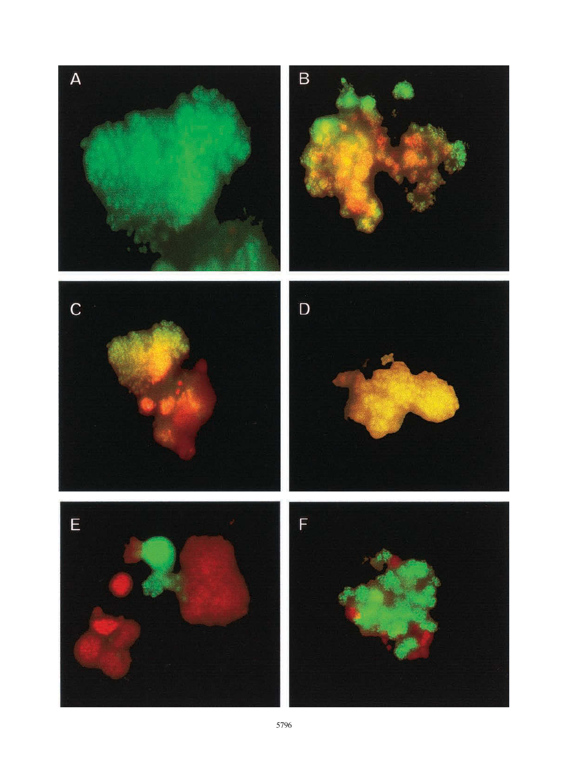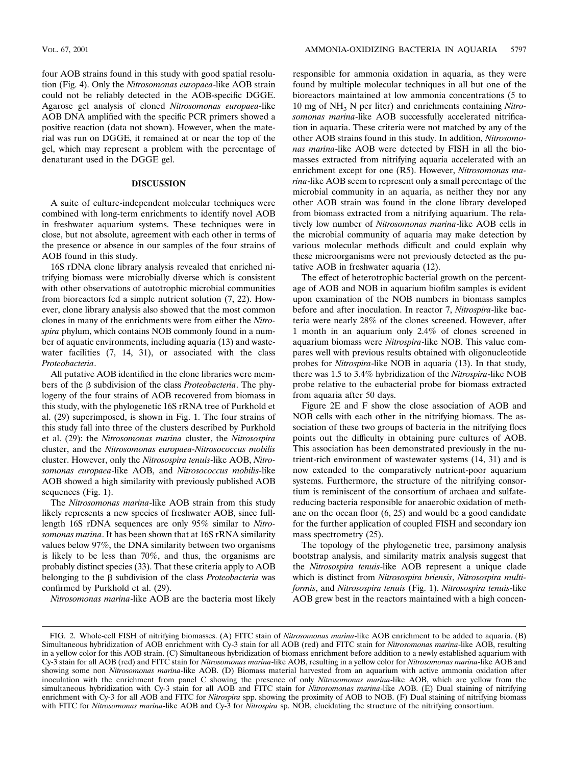four AOB strains found in this study with good spatial resolution (Fig. 4). Only the *Nitrosomonas europaea*-like AOB strain could not be reliably detected in the AOB-specific DGGE. Agarose gel analysis of cloned *Nitrosomonas europaea*-like AOB DNA amplified with the specific PCR primers showed a positive reaction (data not shown). However, when the material was run on DGGE, it remained at or near the top of the gel, which may represent a problem with the percentage of denaturant used in the DGGE gel.

## **DISCUSSION**

A suite of culture-independent molecular techniques were combined with long-term enrichments to identify novel AOB in freshwater aquarium systems. These techniques were in close, but not absolute, agreement with each other in terms of the presence or absence in our samples of the four strains of AOB found in this study.

16S rDNA clone library analysis revealed that enriched nitrifying biomass were microbially diverse which is consistent with other observations of autotrophic microbial communities from bioreactors fed a simple nutrient solution (7, 22). However, clone library analysis also showed that the most common clones in many of the enrichments were from either the *Nitrospira* phylum, which contains NOB commonly found in a number of aquatic environments, including aquaria (13) and wastewater facilities (7, 14, 31), or associated with the class *Proteobacteria*.

All putative AOB identified in the clone libraries were members of the  $\beta$  subdivision of the class *Proteobacteria*. The phylogeny of the four strains of AOB recovered from biomass in this study, with the phylogenetic 16S rRNA tree of Purkhold et al. (29) superimposed, is shown in Fig. 1. The four strains of this study fall into three of the clusters described by Purkhold et al. (29): the *Nitrosomonas marina* cluster, the *Nitrosospira* cluster, and the *Nitrosomonas europaea-Nitrosococcus mobilis* cluster. However, only the *Nitrosospira tenuis*-like AOB, *Nitrosomonas europaea*-like AOB, and *Nitrosococcus mobilis*-like AOB showed a high similarity with previously published AOB sequences (Fig. 1).

The *Nitrosomonas marina*-like AOB strain from this study likely represents a new species of freshwater AOB, since fulllength 16S rDNA sequences are only 95% similar to *Nitrosomonas marina*. It has been shown that at 16S rRNA similarity values below 97%, the DNA similarity between two organisms is likely to be less than 70%, and thus, the organisms are probably distinct species (33). That these criteria apply to AOB belonging to the  $\beta$  subdivision of the class *Proteobacteria* was confirmed by Purkhold et al. (29).

*Nitrosomonas marina*-like AOB are the bacteria most likely

responsible for ammonia oxidation in aquaria, as they were found by multiple molecular techniques in all but one of the bioreactors maintained at low ammonia concentrations (5 to 10 mg of NH3 N per liter) and enrichments containing *Nitrosomonas marina*-like AOB successfully accelerated nitrification in aquaria. These criteria were not matched by any of the other AOB strains found in this study. In addition, *Nitrosomonas marina*-like AOB were detected by FISH in all the biomasses extracted from nitrifying aquaria accelerated with an enrichment except for one (R5). However, *Nitrosomonas marina*-like AOB seem to represent only a small percentage of the microbial community in an aquaria, as neither they nor any other AOB strain was found in the clone library developed from biomass extracted from a nitrifying aquarium. The relatively low number of *Nitrosomonas marina*-like AOB cells in the microbial community of aquaria may make detection by various molecular methods difficult and could explain why these microorganisms were not previously detected as the putative AOB in freshwater aquaria (12).

The effect of heterotrophic bacterial growth on the percentage of AOB and NOB in aquarium biofilm samples is evident upon examination of the NOB numbers in biomass samples before and after inoculation. In reactor 7, *Nitrospira*-like bacteria were nearly 28% of the clones screened. However, after 1 month in an aquarium only 2.4% of clones screened in aquarium biomass were *Nitrospira*-like NOB. This value compares well with previous results obtained with oligonucleotide probes for *Nitrospira*-like NOB in aquaria (13). In that study, there was 1.5 to 3.4% hybridization of the *Nitrospira*-like NOB probe relative to the eubacterial probe for biomass extracted from aquaria after 50 days.

Figure 2E and F show the close association of AOB and NOB cells with each other in the nitrifying biomass. The association of these two groups of bacteria in the nitrifying flocs points out the difficulty in obtaining pure cultures of AOB. This association has been demonstrated previously in the nutrient-rich environment of wastewater systems (14, 31) and is now extended to the comparatively nutrient-poor aquarium systems. Furthermore, the structure of the nitrifying consortium is reminiscent of the consortium of archaea and sulfatereducing bacteria responsible for anaerobic oxidation of methane on the ocean floor (6, 25) and would be a good candidate for the further application of coupled FISH and secondary ion mass spectrometry (25).

The topology of the phylogenetic tree, parsimony analysis bootstrap analysis, and similarity matrix analysis suggest that the *Nitrosospira tenuis*-like AOB represent a unique clade which is distinct from *Nitrosospira briensis*, *Nitrosospira multiformis*, and *Nitrosospira tenuis* (Fig. 1). *Nitrosospira tenuis*-like AOB grew best in the reactors maintained with a high concen-

FIG. 2. Whole-cell FISH of nitrifying biomasses. (A) FITC stain of *Nitrosomonas marina*-like AOB enrichment to be added to aquaria. (B) Simultaneous hybridization of AOB enrichment with Cy-3 stain for all AOB (red) and FITC stain for *Nitrosomonas marina*-like AOB, resulting in a yellow color for this AOB strain. (C) Simultaneous hybridization of biomass enrichment before addition to a newly established aquarium with Cy-3 stain for all AOB (red) and FITC stain for *Nitrosomonas marina*-like AOB, resulting in a yellow color for *Nitrosomonas marina*-like AOB and showing some non *Nitrosomonas marina*-like AOB. (D) Biomass material harvested from an aquarium with active ammonia oxidation after inoculation with the enrichment from panel C showing the presence of only *Nitrosomonas marina*-like AOB, which are yellow from the simultaneous hybridization with Cy-3 stain for all AOB and FITC stain for *Nitrosomonas marina*-like AOB. (E) Dual staining of nitrifying enrichment with Cy-3 for all AOB and FITC for *Nitrospira* spp. showing the proximity of AOB to NOB. (F) Dual staining of nitrifying biomass with FITC for *Nitrosomonas marina*-like AOB and Cy-3 for *Nitrospira* sp. NOB, elucidating the structure of the nitrifying consortium.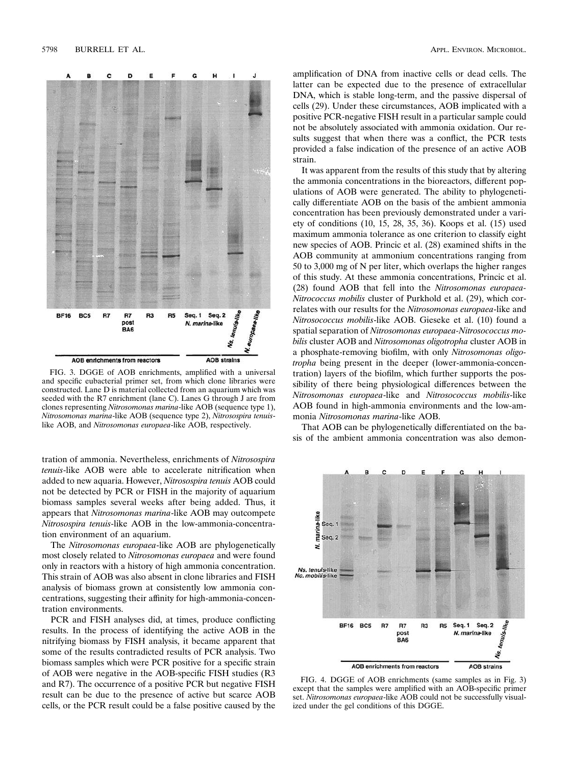

FIG. 3. DGGE of AOB enrichments, amplified with a universal and specific eubacterial primer set, from which clone libraries were constructed. Lane D is material collected from an aquarium which was seeded with the R7 enrichment (lane C). Lanes G through J are from clones representing *Nitrosomonas marina*-like AOB (sequence type 1), *Nitrosomonas marina*-like AOB (sequence type 2), *Nitrosospira tenuis*like AOB, and *Nitrosomonas europaea*-like AOB, respectively.

tration of ammonia. Nevertheless, enrichments of *Nitrosospira tenuis*-like AOB were able to accelerate nitrification when added to new aquaria. However, *Nitrosospira tenuis* AOB could not be detected by PCR or FISH in the majority of aquarium biomass samples several weeks after being added. Thus, it appears that *Nitrosomonas marina*-like AOB may outcompete *Nitrosospira tenuis*-like AOB in the low-ammonia-concentration environment of an aquarium.

The *Nitrosomonas europaea*-like AOB are phylogenetically most closely related to *Nitrosomonas europaea* and were found only in reactors with a history of high ammonia concentration. This strain of AOB was also absent in clone libraries and FISH analysis of biomass grown at consistently low ammonia concentrations, suggesting their affinity for high-ammonia-concentration environments.

PCR and FISH analyses did, at times, produce conflicting results. In the process of identifying the active AOB in the nitrifying biomass by FISH analysis, it became apparent that some of the results contradicted results of PCR analysis. Two biomass samples which were PCR positive for a specific strain of AOB were negative in the AOB-specific FISH studies (R3 and R7). The occurrence of a positive PCR but negative FISH result can be due to the presence of active but scarce AOB cells, or the PCR result could be a false positive caused by the

amplification of DNA from inactive cells or dead cells. The latter can be expected due to the presence of extracellular DNA, which is stable long-term, and the passive dispersal of cells (29). Under these circumstances, AOB implicated with a positive PCR-negative FISH result in a particular sample could not be absolutely associated with ammonia oxidation. Our results suggest that when there was a conflict, the PCR tests provided a false indication of the presence of an active AOB strain.

It was apparent from the results of this study that by altering the ammonia concentrations in the bioreactors, different populations of AOB were generated. The ability to phylogenetically differentiate AOB on the basis of the ambient ammonia concentration has been previously demonstrated under a variety of conditions (10, 15, 28, 35, 36). Koops et al. (15) used maximum ammonia tolerance as one criterion to classify eight new species of AOB. Princic et al. (28) examined shifts in the AOB community at ammonium concentrations ranging from 50 to 3,000 mg of N per liter, which overlaps the higher ranges of this study. At these ammonia concentrations, Princic et al. (28) found AOB that fell into the *Nitrosomonas europaea-Nitrococcus mobilis* cluster of Purkhold et al. (29), which correlates with our results for the *Nitrosomonas europaea*-like and *Nitrosococcus mobilis*-like AOB. Gieseke et al. (10) found a spatial separation of *Nitrosomonas europaea-Nitrosococcus mobilis* cluster AOB and *Nitrosomonas oligotropha* cluster AOB in a phosphate-removing biofilm, with only *Nitrosomonas oligotropha* being present in the deeper (lower-ammonia-concentration) layers of the biofilm, which further supports the possibility of there being physiological differences between the *Nitrosomonas europaea*-like and *Nitrosococcus mobilis*-like AOB found in high-ammonia environments and the low-ammonia *Nitrosomonas marina*-like AOB.

That AOB can be phylogenetically differentiated on the basis of the ambient ammonia concentration was also demon-



FIG. 4. DGGE of AOB enrichments (same samples as in Fig. 3) except that the samples were amplified with an AOB-specific primer set. *Nitrosomonas europaea*-like AOB could not be successfully visualized under the gel conditions of this DGGE.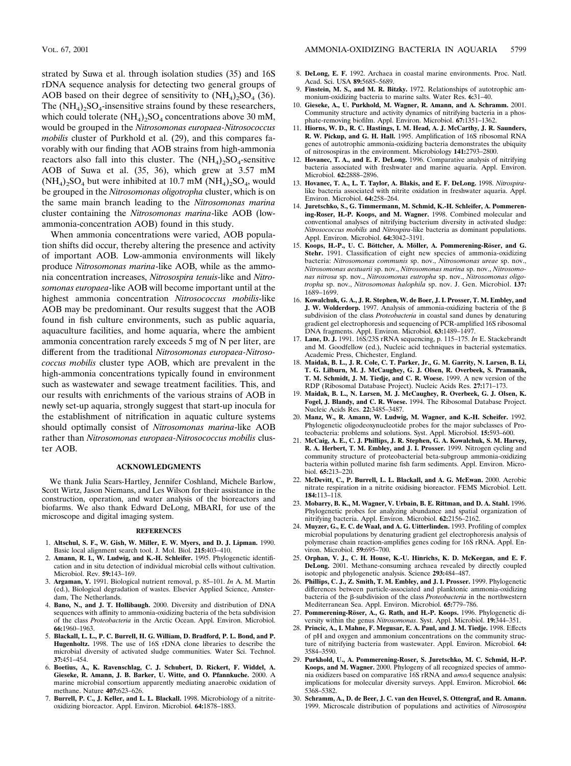strated by Suwa et al. through isolation studies (35) and 16S rDNA sequence analysis for detecting two general groups of AOB based on their degree of sensitivity to  $(NH_4)$ <sub>2</sub>SO<sub>4</sub> (36). The  $(NH_4)_2SO_4$ -insensitive strains found by these researchers, which could tolerate  $(NH_4)_2SO_4$  concentrations above 30 mM, would be grouped in the *Nitrosomonas europaea-Nitrosococcus mobilis* cluster of Purkhold et al. (29), and this compares favorably with our finding that AOB strains from high-ammonia reactors also fall into this cluster. The  $(NH<sub>4</sub>)$ <sub>2</sub>SO<sub>4</sub>-sensitive AOB of Suwa et al. (35, 36), which grew at 3.57 mM  $(NH_4)$ <sub>2</sub>SO<sub>4</sub> but were inhibited at 10.7 mM  $(NH_4)$ <sub>2</sub>SO<sub>4</sub>, would be grouped in the *Nitrosomonas oligotropha* cluster, which is on the same main branch leading to the *Nitrosomonas marina* cluster containing the *Nitrosomonas marina*-like AOB (lowammonia-concentration AOB) found in this study.

When ammonia concentrations were varied, AOB population shifts did occur, thereby altering the presence and activity of important AOB. Low-ammonia environments will likely produce *Nitrosomonas marina*-like AOB, while as the ammonia concentration increases, *Nitrosospira tenuis*-like and *Nitrosomonas europaea*-like AOB will become important until at the highest ammonia concentration *Nitrosococcus mobilis*-like AOB may be predominant. Our results suggest that the AOB found in fish culture environments, such as public aquaria, aquaculture facilities, and home aquaria, where the ambient ammonia concentration rarely exceeds 5 mg of N per liter, are different from the traditional *Nitrosomonas europaea-Nitrosococcus mobilis* cluster type AOB, which are prevalent in the high-ammonia concentrations typically found in environment such as wastewater and sewage treatment facilities. This, and our results with enrichments of the various strains of AOB in newly set-up aquaria, strongly suggest that start-up inocula for the establishment of nitrification in aquatic culture systems should optimally consist of *Nitrosomonas marina*-like AOB rather than *Nitrosomonas europaea-Nitrosococcus mobilis* cluster AOB.

### **ACKNOWLEDGMENTS**

We thank Julia Sears-Hartley, Jennifer Coshland, Michele Barlow, Scott Wirtz, Jason Niemans, and Les Wilson for their assistance in the construction, operation, and water analysis of the bioreactors and biofarms. We also thank Edward DeLong, MBARI, for use of the microscope and digital imaging system.

#### **REFERENCES**

- 1. **Altschul, S. F., W. Gish, W. Miller, E. W. Myers, and D. J. Lipman.** 1990. Basic local alignment search tool. J. Mol. Biol. **215:**403–410.
- 2. **Amann, R. I., W. Ludwig, and K.-H. Schleifer.** 1995. Phylogenetic identification and in situ detection of individual microbial cells without cultivation. Microbiol. Rev. **59:**143–169.
- 3. **Argaman, Y.** 1991. Biological nutrient removal, p. 85–101. *In* A. M. Martin (ed.), Biological degradation of wastes. Elsevier Applied Science, Amsterdam, The Netherlands.
- 4. **Bano, N., and J. T. Hollibaugh.** 2000. Diversity and distribution of DNA sequences with affinity to ammonia-oxidizing bacteria of the beta subdivision of the class *Proteobacteria* in the Arctic Ocean. Appl. Environ. Microbiol. **66:**1960–1963.
- 5. **Blackall, L. L., P. C. Burrell, H. G. William, D. Bradford, P. L. Bond, and P. Hugenholtz.** 1998. The use of 16S rDNA clone libraries to describe the microbial diversity of activated sludge communities. Water Sci. Technol. **37:**451–454.
- 6. **Boetius, A., K. Ravenschlag, C. J. Schubert, D. Rickert, F. Widdel, A. Gieseke, R. Amann, J. B. Barker, U. Witte, and O. Pfannkuche.** 2000. A marine microbial consortium apparently mediating anaerobic oxidation of methane. Nature **407:**623–626.
- 7. **Burrell, P. C., J. Keller, and L. L. Blackall.** 1998. Microbiology of a nitriteoxidizing bioreactor. Appl. Environ. Microbiol. **64:**1878–1883.
- 8. **DeLong, E. F.** 1992. Archaea in coastal marine environments. Proc. Natl. Acad. Sci. USA **89:**5685–5689.
- Finstein, M. S., and M. R. Bitzky. 1972. Relationships of autotrophic ammonium-oxidizing bacteria to marine salts. Water Res. **6:**31–40.
- 10. **Gieseke, A., U. Purkhold, M. Wagner, R. Amann, and A. Schramm.** 2001. Community structure and activity dynamics of nitrifying bacteria in a phosphate-removing biofilm. Appl. Environ. Microbiol. **67:**1351–1362.
- 11. **Hiorns, W. D., R. C. Hastings, I. M. Head, A. J. McCarthy, J. R. Saunders, R. W. Pickup, and G. H. Hall.** 1995. Amplification of 16S ribosomal RNA genes of autotrophic ammonia-oxidizing bacteria demonstrates the ubiquity of nitrosospiras in the environment. Microbiology **141:**2793–2800.
- 12. **Hovanec, T. A., and E. F. DeLong.** 1996. Comparative analysis of nitrifying bacteria associated with freshwater and marine aquaria. Appl. Environ. Microbiol. **62:**2888–2896.
- 13. **Hovanec, T. A., L. T. Taylor, A. Blakis, and E. F. DeLong.** 1998. *Nitrospira*like bacteria associated with nitrite oxidation in freshwater aquaria. Appl. Environ. Microbiol. **64:**258–264.
- 14. **Juretschko, S., G. Timmermann, M. Schmid, K.-H. Schleifer, A. Pommerening-Roser, H.-P. Koops, and M. Wagner.** 1998. Combined molecular and conventional analyses of nitrifying bacterium diversity in activated sludge: *Nitrosococcus mobilis* and *Nitrospira*-like bacteria as dominant populations. Appl. Environ. Microbiol. **64:**3042–3191.
- 15. Koops, H.-P., U. C. Böttcher, A. Möller, A. Pommerening-Röser, and G. **Stehr.** 1991. Classification of eight new species of ammonia-oxidizing bacteria: *Nitrosomonas communis* sp. nov., *Nitrosomonas ureae* sp. nov., *Nitrosomonas aestuarii* sp. nov., *Nitrosomonas marina* sp. nov., *Nitrosomonas nitrosa* sp. nov., *Nitrosomonas eutropha* sp. nov., *Nitrosomonas oligotropha* sp. nov., *Nitrosomonas halophila* sp. nov. J. Gen. Microbiol. **137:** 1689–1699.
- 16. **Kowalchuk, G. A., J. R. Stephen, W. de Boer, J. I. Prosser, T. M. Embley, and J. W. Wolderdorp.** 1997. Analysis of ammonia-oxidizing bacteria of the β subdivision of the class *Proteobacteria* in coastal sand dunes by denaturing gradient gel electrophoresis and sequencing of PCR-amplified 16S ribosomal DNA fragments. Appl. Environ. Microbiol. **63:**1489–1497.
- 17. **Lane, D. J.** 1991. 16S/23S rRNA sequencing, p. 115–175. *In* E. Stackebrandt and M. Goodfellow (ed.), Nucleic acid techniques in bacterial systematics. Academic Press, Chichester, England.
- 18. **Maidak, B. L., J. R. Cole, C. T. Parker, Jr., G. M. Garrity, N. Larsen, B. Li, T. G. Lilburn, M. J. McCaughey, G. J. Olsen, R. Overbeek, S. Pramanik, T. M. Schmidt, J. M. Tiedje, and C. R. Woese.** 1999. A new version of the RDP (Ribosomal Database Project). Nucleic Acids Res. **27:**171–173.
- 19. **Maidak, B. L., N. Larsen, M. J. McCaughey, R. Overbeek, G. J. Olsen, K. Fogel, J. Blandy, and C. R. Woese.** 1994. The Ribosomal Database Project. Nucleic Acids Res. **22:**3485–3487.
- 20. **Manz, W., R. Amann, W. Ludwig, M. Wagner, and K.-H. Scheifer.** 1992. Phylogenetic oligodeoxynucleotide probes for the major subclasses of Proteobacteria: problems and solutions. Syst. Appl. Microbiol. **15:**593–600.
- 21. **McCaig, A. E., C. J. Phillips, J. R. Stephen, G. A. Kowalchuk, S. M. Harvey, R. A. Herbert, T. M. Embley, and J. I. Prosser.** 1999. Nitrogen cycling and community structure of proteobacterial beta-subgroup ammonia-oxidizing bacteria within polluted marine fish farm sediments. Appl. Environ. Microbiol. **65:**213–220.
- 22. **McDevitt, C., P. Burrell, L. L. Blackall, and A. G. McEwan.** 2000. Aerobic nitrate respiration in a nitrite oxidising bioreactor. FEMS Microbiol. Lett. **184:**113–118.
- 23. **Mobarry, B. K., M. Wagner, V. Urbain, B. E. Rittman, and D. A. Stahl.** 1996. Phylogenetic probes for analyzing abundance and spatial organization of nitrifying bacteria. Appl. Environ. Microbiol. **62:**2156–2162.
- 24. **Muyzer, G., E. C. de Waal, and A. G. Uitterlinden.** 1993. Profiling of complex microbial populations by denaturing gradient gel electrophoresis analysis of polymerase chain reaction-amplifies genes coding for 16S rRNA. Appl. Environ. Microbiol. **59:**695–700.
- 25. **Orphan, V. J., C. H. House, K.-U. Hinrichs, K. D. McKeegan, and E. F. DeLong.** 2001. Methane-consuming archaea revealed by directly coupled isotopic and phylogenetic analysis. Science **293:**484–487.
- 26. **Phillips, C. J., Z. Smith, T. M. Embley, and J. I. Prosser.** 1999. Phylogenetic differences between particle-associated and planktonic ammonia-oxidizing bacteria of the  $\beta$ -subdivision of the class *Proteobacteria* in the northwestern Mediterranean Sea. Appl. Environ. Microbiol. **65:**779–786.
- 27. Pommerening-Röser, A., G. Rath, and H.-P. Koops. 1996. Phylogenetic diversity within the genus *Nitrosomonas*. Syst. Appl. Microbiol. **19:**344–351.
- 28. **Princic, A., I. Mahne, F. Megusar, E. A. Paul, and J. M. Tiedje.** 1998. Effects of pH and oxygen and ammonium concentrations on the community structure of nitrifying bacteria from wastewater. Appl. Environ. Microbiol. **64:** 3584–3590.
- 29. **Purkhold, U., A. Pommerening-Roser, S. Juretschko, M. C. Schmid, H.-P. Koops, and M. Wagner.** 2000. Phylogeny of all recognized species of ammonia oxidizers based on comparative 16S rRNA and *amoA* sequence analysis: implications for molecular diversity surveys. Appl. Environ. Microbiol. **66:** 5368–5382.
- 30. **Schramm, A., D. de Beer, J. C. van den Heuvel, S. Ottengraf, and R. Amann.** 1999. Microscale distribution of populations and activities of *Nitrosospira*